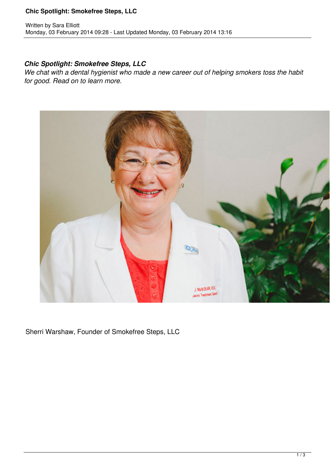### **Chic Spotlight: Smokefree Steps, LLC**

### *Chic Spotlight: Smokefree Steps, LLC*

*We chat with a dental hygienist who made a new career out of helping smokers toss the habit for good. Read on to learn more.*



Sherri Warshaw, Founder of Smokefree Steps, LLC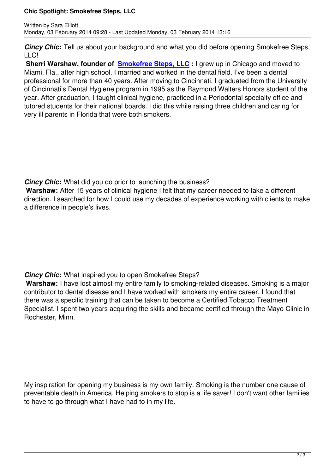*Cincy Chic***:** Tell us about your background and what you did before opening Smokefree Steps, LLC!

**Sherri Warshaw, founder of <b>Smokefree Steps, LLC** : I grew up in Chicago and moved to Miami, Fla., after high school. I married and worked in the dental field. I've been a dental professional for more than 40 years. After moving to Cincinnati, I graduated from the University of Cincinnati's Dental Hygiene [program in 1995 as the R](http://www.smokefreestepsllc.com/)aymond Walters Honors student of the year. After graduation, I taught clinical hygiene, practiced in a Periodontal specialty office and tutored students for their national boards. I did this while raising three children and caring for very ill parents in Florida that were both smokers.

*Cincy Chic***:** What did you do prior to launching the business?

**Warshaw:** After 15 years of clinical hygiene I felt that my career needed to take a different direction. I searched for how I could use my decades of experience working with clients to make a difference in people's lives.

## *Cincy Chic***:** What inspired you to open Smokefree Steps?

**Warshaw:** I have lost almost my entire family to smoking-related diseases. Smoking is a major contributor to dental disease and I have worked with smokers my entire career. I found that there was a specific training that can be taken to become a Certified Tobacco Treatment Specialist. I spent two years acquiring the skills and became certified through the Mayo Clinic in Rochester, Minn.

My inspiration for opening my business is my own family. Smoking is the number one cause of preventable death in America. Helping smokers to stop is a life saver! I don't want other families to have to go through what I have had to in my life.